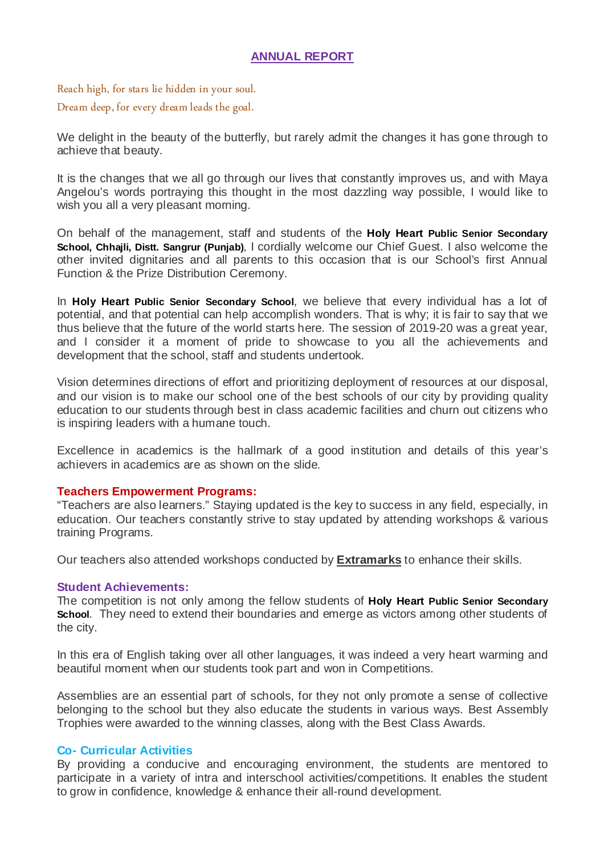# **ANNUAL REPORT**

Reach high, for stars lie hidden in your soul. Dream deep, for every dream leads the goal.

We delight in the beauty of the butterfly, but rarely admit the changes it has gone through to achieve that beauty.

It is the changes that we all go through our lives that constantly improves us, and with Maya Angelou's words portraying this thought in the most dazzling way possible, I would like to wish you all a very pleasant morning.

On behalf of the management, staff and students of the **Holy Heart Public Senior Secondary School, Chhajli, Distt. Sangrur (Punjab)**, I cordially welcome our Chief Guest. I also welcome the other invited dignitaries and all parents to this occasion that is our School's first Annual Function & the Prize Distribution Ceremony.

In **Holy Heart Public Senior Secondary School**, we believe that every individual has a lot of potential, and that potential can help accomplish wonders. That is why; it is fair to say that we thus believe that the future of the world starts here. The session of 2019-20 was a great year, and I consider it a moment of pride to showcase to you all the achievements and development that the school, staff and students undertook.

Vision determines directions of effort and prioritizing deployment of resources at our disposal, and our vision is to make our school one of the best schools of our city by providing quality education to our students through best in class academic facilities and churn out citizens who is inspiring leaders with a humane touch.

Excellence in academics is the hallmark of a good institution and details of this year's achievers in academics are as shown on the slide.

## **Teachers Empowerment Programs:**

"Teachers are also learners." Staying updated is the key to success in any field, especially, in education. Our teachers constantly strive to stay updated by attending workshops & various training Programs.

Our teachers also attended workshops conducted by **Extramarks** to enhance their skills.

## **Student Achievements:**

The competition is not only among the fellow students of **Holy Heart Public Senior Secondary School.** They need to extend their boundaries and emerge as victors among other students of the city.

In this era of English taking over all other languages, it was indeed a very heart warming and beautiful moment when our students took part and won in Competitions.

Assemblies are an essential part of schools, for they not only promote a sense of collective belonging to the school but they also educate the students in various ways. Best Assembly Trophies were awarded to the winning classes, along with the Best Class Awards.

## **Co- Curricular Activities**

By providing a conducive and encouraging environment, the students are mentored to participate in a variety of intra and interschool activities/competitions. It enables the student to grow in confidence, knowledge & enhance their all-round development.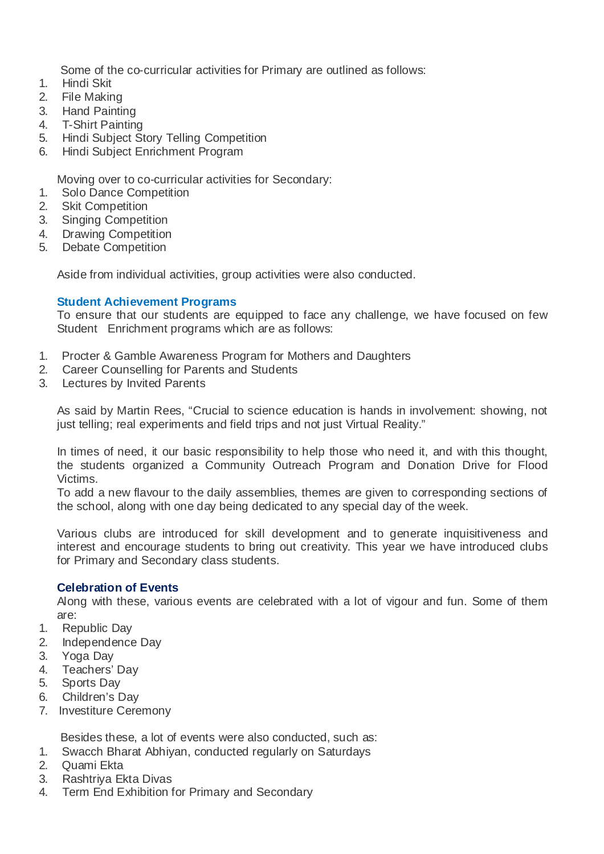Some of the co-curricular activities for Primary are outlined as follows:

- 1. Hindi Skit
- 2. File Making
- 3. Hand Painting
- 4. T-Shirt Painting
- 5. Hindi Subject Story Telling Competition
- 6. Hindi Subject Enrichment Program

Moving over to co-curricular activities for Secondary:

- 1. Solo Dance Competition
- 2. Skit Competition
- 3. Singing Competition
- 4. Drawing Competition
- 5. Debate Competition

Aside from individual activities, group activities were also conducted.

## **Student Achievement Programs**

To ensure that our students are equipped to face any challenge, we have focused on few Student Enrichment programs which are as follows:

- 1. Procter & Gamble Awareness Program for Mothers and Daughters
- 2. Career Counselling for Parents and Students
- 3. Lectures by Invited Parents

As said by Martin Rees, "Crucial to science education is hands in involvement: showing, not just telling; real experiments and field trips and not just Virtual Reality."

In times of need, it our basic responsibility to help those who need it, and with this thought, the students organized a Community Outreach Program and Donation Drive for Flood Victims.

To add a new flavour to the daily assemblies, themes are given to corresponding sections of the school, along with one day being dedicated to any special day of the week.

Various clubs are introduced for skill development and to generate inquisitiveness and interest and encourage students to bring out creativity. This year we have introduced clubs for Primary and Secondary class students.

## **Celebration of Events**

Along with these, various events are celebrated with a lot of vigour and fun. Some of them are:

- 1. Republic Day
- 2. Independence Day
- 3. Yoga Day
- 4. Teachers' Day
- 5. Sports Day
- 6. Children's Day
- 7. Investiture Ceremony

Besides these, a lot of events were also conducted, such as:

- 1. Swacch Bharat Abhiyan, conducted regularly on Saturdays
- 2. Quami Ekta
- 3. Rashtriya Ekta Divas
- 4. Term End Exhibition for Primary and Secondary